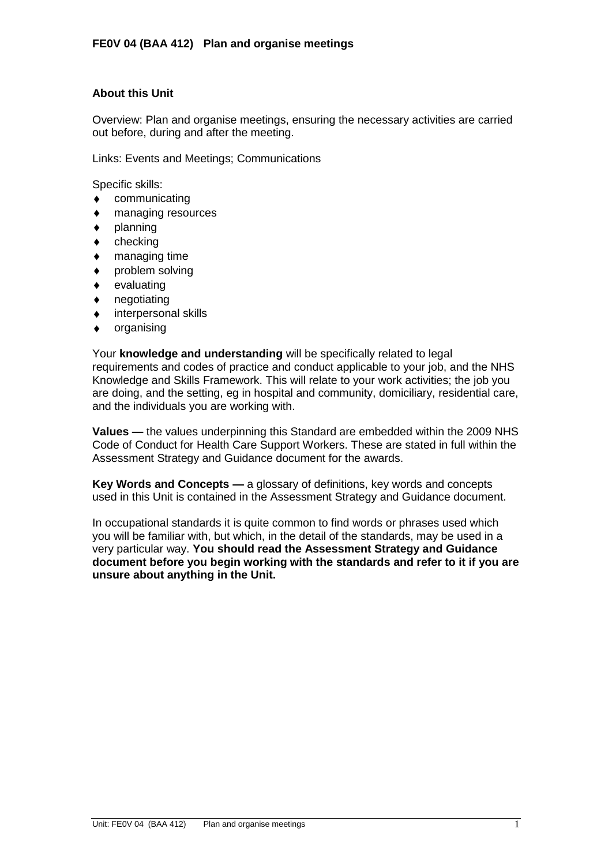# **About this Unit**

Overview: Plan and organise meetings, ensuring the necessary activities are carried out before, during and after the meeting.

Links: Events and Meetings; Communications

Specific skills:

- communicating  $\bullet$
- managing resources  $\bullet$
- planning  $\blacklozenge$
- checking  $\bullet$
- managing time
- problem solving  $\bullet$
- evaluating  $\bullet$
- negotiating  $\blacklozenge$
- interpersonal skills
- organising  $\ddot{\bullet}$

Your **knowledge and understanding** will be specifically related to legal requirements and codes of practice and conduct applicable to your job, and the NHS Knowledge and Skills Framework. This will relate to your work activities; the job you are doing, and the setting, eg in hospital and community, domiciliary, residential care, and the individuals you are working with.

**Values —** the values underpinning this Standard are embedded within the 2009 NHS Code of Conduct for Health Care Support Workers. These are stated in full within the Assessment Strategy and Guidance document for the awards.

**Key Words and Concepts —** a glossary of definitions, key words and concepts used in this Unit is contained in the Assessment Strategy and Guidance document.

In occupational standards it is quite common to find words or phrases used which you will be familiar with, but which, in the detail of the standards, may be used in a very particular way. **You should read the Assessment Strategy and Guidance document before you begin working with the standards and refer to it if you are unsure about anything in the Unit.**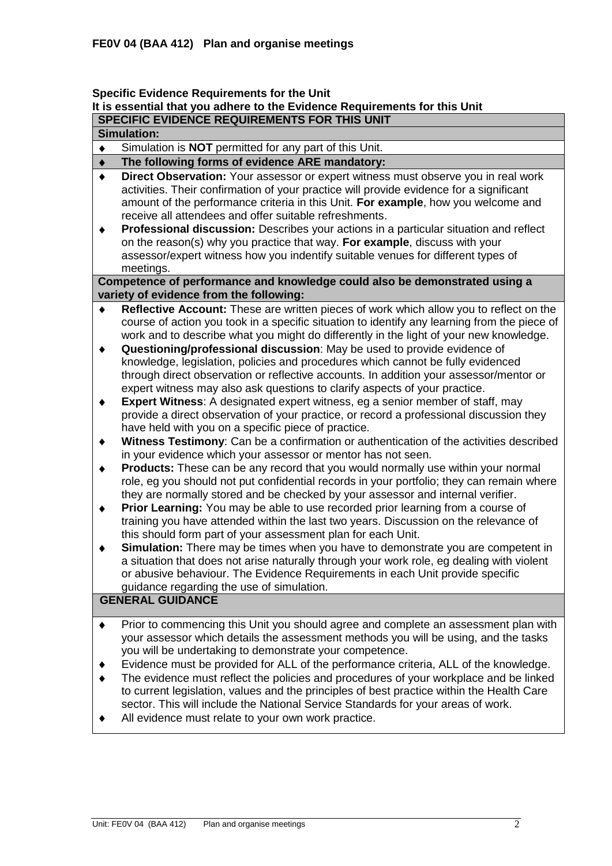## **Specific Evidence Requirements for the Unit It is essential that you adhere to the Evidence Requirements for this Unit SPECIFIC EVIDENCE REQUIREMENTS FOR THIS UNIT**

#### **Simulation:**

Simulation is **NOT** permitted for any part of this Unit.  $\bullet$ 

#### **The following forms of evidence ARE mandatory:**  $\blacklozenge$

- $\bullet$ **Direct Observation:** Your assessor or expert witness must observe you in real work activities. Their confirmation of your practice will provide evidence for a significant amount of the performance criteria in this Unit. **For example**, how you welcome and receive all attendees and offer suitable refreshments.
- $\ddot{\bullet}$ **Professional discussion:** Describes your actions in a particular situation and reflect on the reason(s) why you practice that way. **For example**, discuss with your assessor/expert witness how you indentify suitable venues for different types of meetings.

### **Competence of performance and knowledge could also be demonstrated using a variety of evidence from the following:**

- **Reflective Account:** These are written pieces of work which allow you to reflect on the course of action you took in a specific situation to identify any learning from the piece of work and to describe what you might do differently in the light of your new knowledge.
- **Questioning/professional discussion**: May be used to provide evidence of  $\ddot{\bullet}$ knowledge, legislation, policies and procedures which cannot be fully evidenced through direct observation or reflective accounts. In addition your assessor/mentor or expert witness may also ask questions to clarify aspects of your practice.
- **Expert Witness**: A designated expert witness, eg a senior member of staff, may  $\blacklozenge$ provide a direct observation of your practice, or record a professional discussion they have held with you on a specific piece of practice.
- **Witness Testimony**: Can be a confirmation or authentication of the activities described  $\blacklozenge$ in your evidence which your assessor or mentor has not seen.
- $\ddot{\bullet}$ **Products:** These can be any record that you would normally use within your normal role, eg you should not put confidential records in your portfolio; they can remain where they are normally stored and be checked by your assessor and internal verifier.
- **Prior Learning:** You may be able to use recorded prior learning from a course of  $\bullet$ training you have attended within the last two years. Discussion on the relevance of this should form part of your assessment plan for each Unit.
- **Simulation:** There may be times when you have to demonstrate you are competent in  $\ddot{\bullet}$ a situation that does not arise naturally through your work role, eg dealing with violent or abusive behaviour. The Evidence Requirements in each Unit provide specific guidance regarding the use of simulation.

# **GENERAL GUIDANCE**

- Prior to commencing this Unit you should agree and complete an assessment plan with  $\blacklozenge$ your assessor which details the assessment methods you will be using, and the tasks you will be undertaking to demonstrate your competence.
- $\ddot{\bullet}$ Evidence must be provided for ALL of the performance criteria, ALL of the knowledge.
- The evidence must reflect the policies and procedures of your workplace and be linked to current legislation, values and the principles of best practice within the Health Care sector. This will include the National Service Standards for your areas of work.
- All evidence must relate to your own work practice.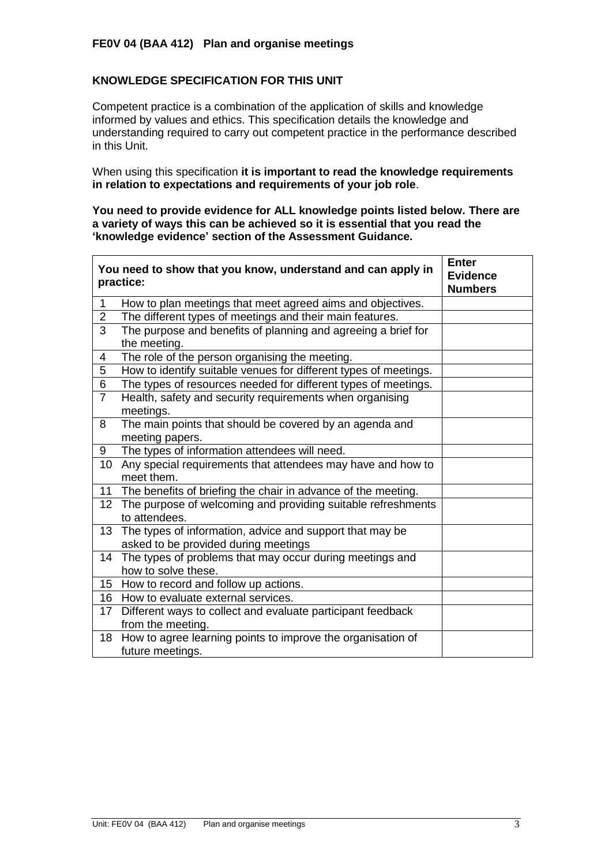# **KNOWLEDGE SPECIFICATION FOR THIS UNIT**

 $\mathbf{r}$ 

Competent practice is a combination of the application of skills and knowledge informed by values and ethics. This specification details the knowledge and understanding required to carry out competent practice in the performance described in this Unit.

When using this specification **it is important to read the knowledge requirements in relation to expectations and requirements of your job role**.

**You need to provide evidence for ALL knowledge points listed below. There are a variety of ways this can be achieved so it is essential that you read the 'knowledge evidence' section of the Assessment Guidance.**

|                 | You need to show that you know, understand and can apply in<br>practice:                         | Enter<br><b>Evidence</b><br><b>Numbers</b> |
|-----------------|--------------------------------------------------------------------------------------------------|--------------------------------------------|
| 1               | How to plan meetings that meet agreed aims and objectives.                                       |                                            |
| $\overline{2}$  | The different types of meetings and their main features.                                         |                                            |
| 3               | The purpose and benefits of planning and agreeing a brief for<br>the meeting.                    |                                            |
| 4               | The role of the person organising the meeting.                                                   |                                            |
| 5               | How to identify suitable venues for different types of meetings.                                 |                                            |
| 6               | The types of resources needed for different types of meetings.                                   |                                            |
| $\overline{7}$  | Health, safety and security requirements when organising<br>meetings.                            |                                            |
| 8               | The main points that should be covered by an agenda and<br>meeting papers.                       |                                            |
| 9               | The types of information attendees will need.                                                    |                                            |
| 10              | Any special requirements that attendees may have and how to<br>meet them.                        |                                            |
| 11              | The benefits of briefing the chair in advance of the meeting.                                    |                                            |
| 12 <sub>2</sub> | The purpose of welcoming and providing suitable refreshments<br>to attendees.                    |                                            |
| 13              | The types of information, advice and support that may be<br>asked to be provided during meetings |                                            |
| 14              | The types of problems that may occur during meetings and<br>how to solve these.                  |                                            |
| 15              | How to record and follow up actions.                                                             |                                            |
|                 | 16 How to evaluate external services.                                                            |                                            |
| 17              | Different ways to collect and evaluate participant feedback<br>from the meeting.                 |                                            |
| 18              | How to agree learning points to improve the organisation of<br>future meetings.                  |                                            |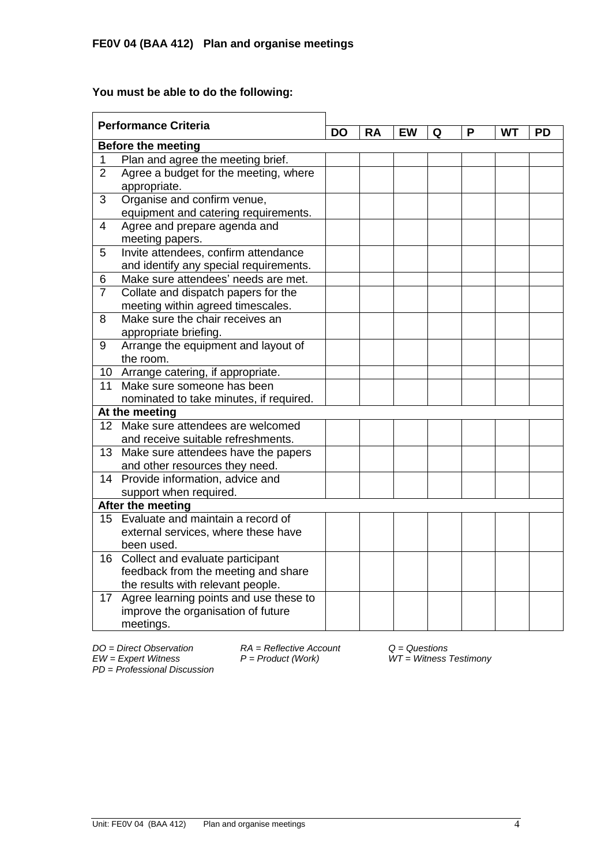# **You must be able to do the following:**

| <b>Performance Criteria</b> |                                         | DO | RA | EW | Q | P | WТ | PD |
|-----------------------------|-----------------------------------------|----|----|----|---|---|----|----|
| <b>Before the meeting</b>   |                                         |    |    |    |   |   |    |    |
| 1                           | Plan and agree the meeting brief.       |    |    |    |   |   |    |    |
| $\overline{2}$              | Agree a budget for the meeting, where   |    |    |    |   |   |    |    |
|                             | appropriate.                            |    |    |    |   |   |    |    |
| 3                           | Organise and confirm venue,             |    |    |    |   |   |    |    |
|                             | equipment and catering requirements.    |    |    |    |   |   |    |    |
| $\overline{4}$              | Agree and prepare agenda and            |    |    |    |   |   |    |    |
|                             | meeting papers.                         |    |    |    |   |   |    |    |
| 5                           | Invite attendees, confirm attendance    |    |    |    |   |   |    |    |
|                             | and identify any special requirements.  |    |    |    |   |   |    |    |
| 6                           | Make sure attendees' needs are met.     |    |    |    |   |   |    |    |
| $\overline{7}$              | Collate and dispatch papers for the     |    |    |    |   |   |    |    |
|                             | meeting within agreed timescales.       |    |    |    |   |   |    |    |
| 8                           | Make sure the chair receives an         |    |    |    |   |   |    |    |
|                             | appropriate briefing.                   |    |    |    |   |   |    |    |
| 9                           | Arrange the equipment and layout of     |    |    |    |   |   |    |    |
|                             | the room.                               |    |    |    |   |   |    |    |
|                             | 10 Arrange catering, if appropriate.    |    |    |    |   |   |    |    |
| 11                          | Make sure someone has been              |    |    |    |   |   |    |    |
|                             | nominated to take minutes, if required. |    |    |    |   |   |    |    |
| At the meeting              |                                         |    |    |    |   |   |    |    |
|                             | 12 Make sure attendees are welcomed     |    |    |    |   |   |    |    |
|                             | and receive suitable refreshments.      |    |    |    |   |   |    |    |
| 13 <sup>2</sup>             | Make sure attendees have the papers     |    |    |    |   |   |    |    |
|                             | and other resources they need.          |    |    |    |   |   |    |    |
|                             | 14 Provide information, advice and      |    |    |    |   |   |    |    |
|                             | support when required.                  |    |    |    |   |   |    |    |
| After the meeting           |                                         |    |    |    |   |   |    |    |
| 15                          | Evaluate and maintain a record of       |    |    |    |   |   |    |    |
|                             | external services, where these have     |    |    |    |   |   |    |    |
|                             | been used.                              |    |    |    |   |   |    |    |
|                             | 16 Collect and evaluate participant     |    |    |    |   |   |    |    |
|                             | feedback from the meeting and share     |    |    |    |   |   |    |    |
|                             | the results with relevant people.       |    |    |    |   |   |    |    |
| 17                          | Agree learning points and use these to  |    |    |    |   |   |    |    |
|                             | improve the organisation of future      |    |    |    |   |   |    |    |
|                             | meetings.                               |    |    |    |   |   |    |    |

*PD* = *Professional Discussion*

*DO = Direct Observation RA = Reflective Account Q = Questions F* = *Product (Work)*